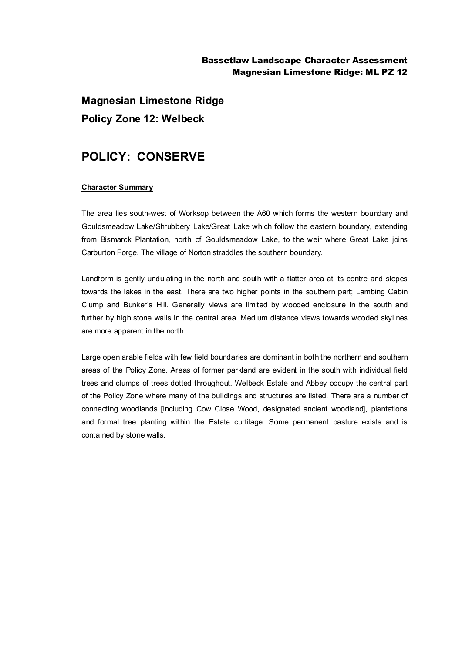## Bassetlaw Landscape Character Assessment Magnesian Limestone Ridge: ML PZ 12

**Magnesian Limestone Ridge Policy Zone 12: Welbeck**

## **POLICY: CONSERVE**

## **Character Summary**

The area lies south-west of Worksop between the A60 which forms the western boundary and Gouldsmeadow Lake/Shrubbery Lake/Great Lake which follow the eastern boundary, extending from Bismarck Plantation, north of Gouldsmeadow Lake, to the weir where Great Lake joins Carburton Forge. The village of Norton straddles the southern boundary.

Landform is gently undulating in the north and south with a flatter area at its centre and slopes towards the lakes in the east. There are two higher points in the southern part; Lambing Cabin Clump and Bunker's Hill. Generally views are limited by wooded enclosure in the south and further by high stone walls in the central area. Medium distance views towards wooded skylines are more apparent in the north.

Large open arable fields with few field boundaries are dominant in both the northern and southern areas of the Policy Zone. Areas of former parkland are evident in the south with individual field trees and clumps of trees dotted throughout. Welbeck Estate and Abbey occupy the central part of the Policy Zone where many of the buildings and structures are listed. There are a number of connecting woodlands [including Cow Close Wood, designated ancient woodland], plantations and formal tree planting within the Estate curtilage. Some permanent pasture exists and is contained by stone walls.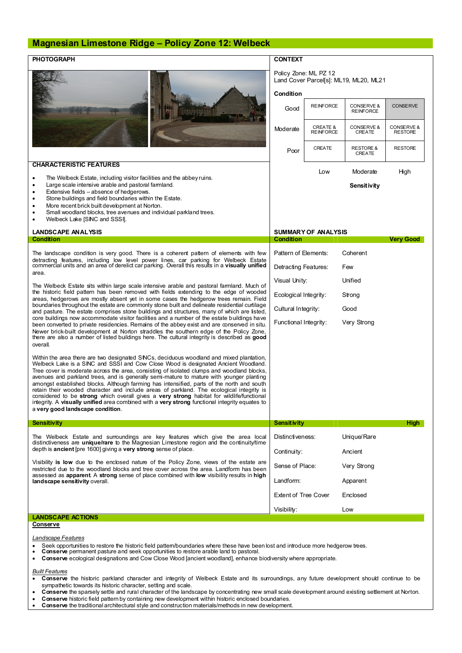## **Magnesian Limestone Ridge – Policy Zone 12: Welbeck**

| <b>PHOTOGRAPH</b>                                                                                                                                                                                                                                                                                                                                                                                                                                                                                                                                                                                                                                                                                                                                                                                                                                                                     | <b>CONTEXT</b>                                                               |                                         |                                       |                              |
|---------------------------------------------------------------------------------------------------------------------------------------------------------------------------------------------------------------------------------------------------------------------------------------------------------------------------------------------------------------------------------------------------------------------------------------------------------------------------------------------------------------------------------------------------------------------------------------------------------------------------------------------------------------------------------------------------------------------------------------------------------------------------------------------------------------------------------------------------------------------------------------|------------------------------------------------------------------------------|-----------------------------------------|---------------------------------------|------------------------------|
|                                                                                                                                                                                                                                                                                                                                                                                                                                                                                                                                                                                                                                                                                                                                                                                                                                                                                       | Policy Zone: ML PZ 12<br>Land Cover Parcel[s]: ML19, ML20, ML21<br>Condition |                                         |                                       |                              |
|                                                                                                                                                                                                                                                                                                                                                                                                                                                                                                                                                                                                                                                                                                                                                                                                                                                                                       | Good                                                                         | <b>REINFORCE</b>                        | CONSERVE &<br><b>REINFORCE</b>        | <b>CONSERVE</b>              |
|                                                                                                                                                                                                                                                                                                                                                                                                                                                                                                                                                                                                                                                                                                                                                                                                                                                                                       | Moderate                                                                     | <b>CREATE &amp;</b><br><b>REINFORCE</b> | CONSERVE &<br>CREATE                  | CONSERVE &<br><b>RESTORE</b> |
|                                                                                                                                                                                                                                                                                                                                                                                                                                                                                                                                                                                                                                                                                                                                                                                                                                                                                       | Poor                                                                         | CREATE                                  | <b>RESTORE &amp;</b><br><b>CREATE</b> | <b>RESTORE</b>               |
| <b>CHARACTERISTIC FEATURES</b>                                                                                                                                                                                                                                                                                                                                                                                                                                                                                                                                                                                                                                                                                                                                                                                                                                                        |                                                                              | Low                                     | Moderate                              | High                         |
| The Welbeck Estate, including visitor facilities and the abbey ruins.<br>$\bullet$<br>Large scale intensive arable and pastoral familand.<br>$\bullet$<br>Extensive fields - absence of hedgerows.<br>٠<br>Stone buildings and field boundaries within the Estate.<br>٠<br>More recent brick built development at Norton.<br>٠<br>Small woodland blocks, tree avenues and individual parkland trees.<br>٠<br>Welbeck Lake [SNC and SSSI].                                                                                                                                                                                                                                                                                                                                                                                                                                             |                                                                              |                                         | Sensitivity                           |                              |
| <b>LANDSCAPE ANALYSIS</b><br><b>Condition</b>                                                                                                                                                                                                                                                                                                                                                                                                                                                                                                                                                                                                                                                                                                                                                                                                                                         | <b>SUMMARY OF ANALYSIS</b><br><b>Condition</b>                               |                                         |                                       | <b>Very Good</b>             |
| The landscape condition is very good. There is a coherent pattern of elements with few<br>detracting features, including low level power lines, car parking for Welbeck Estate<br>commercial units and an area of derelict car parking. Overall this results in a visually unified<br>area.                                                                                                                                                                                                                                                                                                                                                                                                                                                                                                                                                                                           | Pattern of Elements:                                                         |                                         | Coherent                              |                              |
|                                                                                                                                                                                                                                                                                                                                                                                                                                                                                                                                                                                                                                                                                                                                                                                                                                                                                       | Detracting Features:                                                         |                                         | Few                                   |                              |
| The Welbeck Estate sits within large scale intensive arable and pastoral farmland. Much of<br>the historic field pattern has been removed with fields extending to the edge of wooded<br>areas, hedgerows are mostly absent yet in some cases the hedgerow trees remain. Field<br>boundaries throughout the estate are commonly stone built and delineate residential curtilage<br>and pasture. The estate comprises stone buildings and structures, many of which are listed,<br>core buildings now accommodate visitor facilities and a number of the estate buildings have<br>been converted to private residencies. Remains of the abbey exist and are conserved in situ.<br>Newer brick-built development at Norton straddles the southern edge of the Policy Zone,<br>there are also a number of listed buildings here. The cultural integrity is described as good<br>overall. | Visual Unity:                                                                |                                         | Unified                               |                              |
|                                                                                                                                                                                                                                                                                                                                                                                                                                                                                                                                                                                                                                                                                                                                                                                                                                                                                       | Ecological Integrity:                                                        |                                         | Strong                                |                              |
|                                                                                                                                                                                                                                                                                                                                                                                                                                                                                                                                                                                                                                                                                                                                                                                                                                                                                       | Cultural Integrity:                                                          |                                         | Good                                  |                              |
|                                                                                                                                                                                                                                                                                                                                                                                                                                                                                                                                                                                                                                                                                                                                                                                                                                                                                       | Functional Integrity:                                                        |                                         | Very Strong                           |                              |
| Within the area there are two designated SINCs, deciduous woodland and mixed plantation,<br>Welbeck Lake is a SINC and SSSI and Cow Close Wood is designated Ancient Woodland.<br>Tree cover is moderate across the area, consisting of isolated clumps and woodland blocks,<br>avenues and parkland trees, and is generally semi-mature to mature with younger planting<br>amongst established blocks. Although farming has intensified, parts of the north and south<br>retain their wooded character and include areas of parkland. The ecological integrity is<br>considered to be strong which overall gives a very strong habitat for wildlife/functional<br>integrity. A visually unified area combined with a very strong functional integrity equates to<br>a very good landscape condition.                                                                                 |                                                                              |                                         |                                       |                              |
| <b>Sensitivity</b>                                                                                                                                                                                                                                                                                                                                                                                                                                                                                                                                                                                                                                                                                                                                                                                                                                                                    | <b>Sensitivity</b>                                                           |                                         |                                       | <b>High</b>                  |
| The Welbeck Estate and surroundings are key features which give the area local<br>distinctiveness are unique/rare to the Magnesian Limestone region and the continuity/time<br>depth is ancient [pre 1600] giving a very strong sense of place.<br>Visibility is low due to the enclosed nature of the Policy Zone, views of the estate are<br>restricted due to the woodland blocks and tree cover across the area. Landform has been<br>assessed as apparent. A strong sense of place combined with low visibility results in high<br>landscape sensitivity overall.                                                                                                                                                                                                                                                                                                                | Distinctiveness:                                                             |                                         | Unique/Rare                           |                              |
|                                                                                                                                                                                                                                                                                                                                                                                                                                                                                                                                                                                                                                                                                                                                                                                                                                                                                       | Continuity:                                                                  | Ancient                                 |                                       |                              |
|                                                                                                                                                                                                                                                                                                                                                                                                                                                                                                                                                                                                                                                                                                                                                                                                                                                                                       |                                                                              | Sense of Place:<br>Very Strong          |                                       |                              |
|                                                                                                                                                                                                                                                                                                                                                                                                                                                                                                                                                                                                                                                                                                                                                                                                                                                                                       | Landform:                                                                    | Apparent                                |                                       |                              |
|                                                                                                                                                                                                                                                                                                                                                                                                                                                                                                                                                                                                                                                                                                                                                                                                                                                                                       | <b>Extent of Tree Cover</b>                                                  |                                         | Enclosed                              |                              |
|                                                                                                                                                                                                                                                                                                                                                                                                                                                                                                                                                                                                                                                                                                                                                                                                                                                                                       | Visibility:                                                                  |                                         | Low                                   |                              |
| <b>LANDSCAPE ACTIONS</b><br>Conserve                                                                                                                                                                                                                                                                                                                                                                                                                                                                                                                                                                                                                                                                                                                                                                                                                                                  |                                                                              |                                         |                                       |                              |
| Landscape Features                                                                                                                                                                                                                                                                                                                                                                                                                                                                                                                                                                                                                                                                                                                                                                                                                                                                    |                                                                              |                                         |                                       |                              |

• Seek opportunities to restore the historic field pattem/boundaries where these have been lost and introduce more hedgerow trees.<br>• Conserve permanent pasture and seek opportunities to restore arable land to pastoral.

- 
- · **Conserve** ecological designations and Cow Close Wood [ancient woodland], enhance biodiversity where appropriate.

*Built Features*

- · **Conserve** the historic parkland character and integrity of Welbeck Estate and its surroundings, any future development should continue to be sympathetic towards its historic character, setting and scale.
- · **Conserve** the sparsely settle and rural character of the landscape by concentrating new small scale development around existing settlement at Norton.
- · **Conserve** historic field pattern by containing new development within historic enclosed boundaries.
- · **Conserve** the traditional architectural style and construction materials/methods in new development.